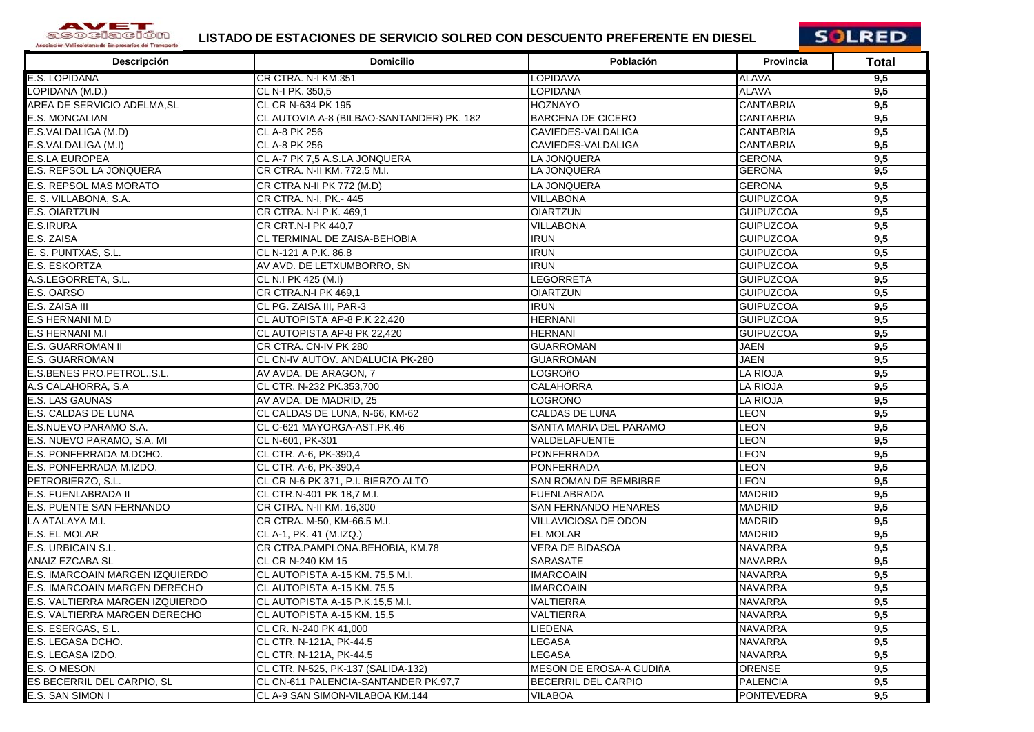

## **LISTADO DE ESTACIONES DE SERVICIO SOLRED CON DESCUENTO PREFERENTE EN DIESEL**



| Descripción                       | <b>Domicilio</b>                          | Población                   | <b>Provincia</b>  | Total |
|-----------------------------------|-------------------------------------------|-----------------------------|-------------------|-------|
| E.S. LOPIDANA                     | CR CTRA. N-I KM.351                       | <b>LOPIDAVA</b>             | <b>ALAVA</b>      | 9,5   |
| LOPIDANA (M.D.)                   | CL N-I PK. 350,5                          | <b>LOPIDANA</b>             | <b>ALAVA</b>      | 9,5   |
| AREA DE SERVICIO ADELMA,SL        | CL CR N-634 PK 195                        | <b>HOZNAYO</b>              | <b>CANTABRIA</b>  | 9,5   |
| <b>E.S. MONCALIAN</b>             | CL AUTOVIA A-8 (BILBAO-SANTANDER) PK. 182 | <b>BARCENA DE CICERO</b>    | <b>CANTABRIA</b>  | 9,5   |
| E.S.VALDALIGA (M.D)               | CL A-8 PK 256                             | CAVIEDES-VALDALIGA          | <b>CANTABRIA</b>  | 9,5   |
| E.S.VALDALIGA (M.I)               | CL A-8 PK 256                             | CAVIEDES-VALDALIGA          | <b>CANTABRIA</b>  | 9,5   |
| <b>E.S.LA EUROPEA</b>             | CL A-7 PK 7,5 A.S.LA JONQUERA             | LA JONQUERA                 | <b>GERONA</b>     | 9,5   |
| E.S. REPSOL LA JONQUERA           | CR CTRA. N-II KM. 772,5 M.I.              | LA JONQUERA                 | <b>GERONA</b>     | 9,5   |
| <b>E.S. REPSOL MAS MORATO</b>     | CR CTRA N-II PK 772 (M.D)                 | LA JONQUERA                 | <b>GERONA</b>     | 9,5   |
| E. S. VILLABONA, S.A.             | CR CTRA. N-I, PK.- 445                    | <b>VILLABONA</b>            | <b>GUIPUZCOA</b>  | 9,5   |
| <b>E.S. OIARTZUN</b>              | CR CTRA. N-I P.K. 469,1                   | <b>OIARTZUN</b>             | <b>GUIPUZCOA</b>  | 9,5   |
| E.S.IRURA                         | CR CRT.N-I PK 440,7                       | <b>VILLABONA</b>            | <b>GUIPUZCOA</b>  | 9,5   |
| E.S. ZAISA                        | CL TERMINAL DE ZAISA-BEHOBIA              | <b>IRUN</b>                 | <b>GUIPUZCOA</b>  | 9,5   |
| E. S. PUNTXAS, S.L.               | CL N-121 A P.K. 86,8                      | <b>IRUN</b>                 | <b>GUIPUZCOA</b>  | 9,5   |
| <b>E.S. ESKORTZA</b>              | AV AVD. DE LETXUMBORRO, SN                | <b>IRUN</b>                 | <b>GUIPUZCOA</b>  | 9,5   |
| A.S.LEGORRETA, S.L.               | CL N.I PK 425 (M.I)                       | LEGORRETA                   | <b>GUIPUZCOA</b>  | 9,5   |
| E.S. OARSO                        | CR CTRA.N-I PK 469,1                      | <b>OIARTZUN</b>             | <b>GUIPUZCOA</b>  | 9,5   |
| E.S. ZAISA III                    | CL PG. ZAISA III. PAR-3                   | <b>IRUN</b>                 | <b>GUIPUZCOA</b>  | 9,5   |
| <b>E.S HERNANI M.D</b>            | CL AUTOPISTA AP-8 P.K 22,420              | <b>HERNANI</b>              | <b>GUIPUZCOA</b>  | 9,5   |
| <b>E.S HERNANI M.I</b>            | CL AUTOPISTA AP-8 PK 22,420               | <b>HERNANI</b>              | <b>GUIPUZCOA</b>  | 9,5   |
| <b>E.S. GUARROMAN II</b>          | CR CTRA. CN-IV PK 280                     | <b>GUARROMAN</b>            | <b>JAEN</b>       | 9,5   |
| <b>E.S. GUARROMAN</b>             | CL CN-IV AUTOV. ANDALUCIA PK-280          | <b>GUARROMAN</b>            | <b>JAEN</b>       | 9,5   |
| E.S.BENES PRO.PETROL., S.L.       | AV AVDA. DE ARAGON, 7                     | LOGROñO                     | <b>LA RIOJA</b>   | 9,5   |
| A.S CALAHORRA, S.A                | CL CTR. N-232 PK.353,700                  | <b>CALAHORRA</b>            | <b>LA RIOJA</b>   | 9,5   |
| <b>E.S. LAS GAUNAS</b>            | AV AVDA. DE MADRID. 25                    | LOGRONO                     | <b>LA RIOJA</b>   | 9,5   |
| E.S. CALDAS DE LUNA               | CL CALDAS DE LUNA, N-66, KM-62            | <b>CALDAS DE LUNA</b>       | LEON              | 9,5   |
| E.S.NUEVO PARAMO S.A.             | CL C-621 MAYORGA-AST.PK.46                | SANTA MARIA DEL PARAMO      | <b>LEON</b>       | 9,5   |
| E.S. NUEVO PARAMO, S.A. MI        | CL N-601, PK-301                          | VALDELAFUENTE               | <b>LEON</b>       | 9,5   |
| E.S. PONFERRADA M.DCHO.           | CL CTR. A-6, PK-390,4                     | <b>PONFERRADA</b>           | LEON              | 9,5   |
| E.S. PONFERRADA M.IZDO.           | CL CTR. A-6, PK-390,4                     | <b>PONFERRADA</b>           | LEON              | 9,5   |
| PETROBIERZO, S.L.                 | CL CR N-6 PK 371, P.I. BIERZO ALTO        | SAN ROMAN DE BEMBIBRE       | LEON              | 9,5   |
| E.S. FUENLABRADA II               | CL CTR.N-401 PK 18,7 M.I.                 | <b>FUENLABRADA</b>          | <b>MADRID</b>     | 9,5   |
| <b>E.S. PUENTE SAN FERNANDO</b>   | CR CTRA. N-II KM. 16,300                  | <b>SAN FERNANDO HENARES</b> | <b>MADRID</b>     | 9,5   |
| LA ATALAYA M.I.                   | CR CTRA. M-50, KM-66.5 M.I.               | <b>VILLAVICIOSA DE ODON</b> | <b>MADRID</b>     | 9,5   |
| E.S. EL MOLAR                     | CL A-1, PK. 41 (M.IZQ.)                   | <b>EL MOLAR</b>             | <b>MADRID</b>     | 9,5   |
| E.S. URBICAIN S.L.                | CR CTRA.PAMPLONA.BEHOBIA, KM.78           | <b>VERA DE BIDASOA</b>      | <b>NAVARRA</b>    | 9,5   |
| <b>ANAIZ EZCABA SL</b>            | CL CR N-240 KM 15                         | SARASATE                    | <b>NAVARRA</b>    | 9,5   |
| E.S. IMARCOAIN MARGEN IZQUIERDO   | CL AUTOPISTA A-15 KM. 75,5 M.I.           | <b>IMARCOAIN</b>            | <b>NAVARRA</b>    | 9,5   |
| E.S. IMARCOAIN MARGEN DERECHO     | CL AUTOPISTA A-15 KM, 75.5                | <b>IMARCOAIN</b>            | <b>NAVARRA</b>    | 9,5   |
| E.S. VALTIERRA MARGEN IZQUIERDO   | CL AUTOPISTA A-15 P.K.15,5 M.I.           | VALTIERRA                   | <b>NAVARRA</b>    | 9,5   |
| E.S. VALTIERRA MARGEN DERECHO     | CL AUTOPISTA A-15 KM. 15,5                | <b>VALTIERRA</b>            | <b>NAVARRA</b>    | 9,5   |
| E.S. ESERGAS, S.L.                | CL CR. N-240 PK 41,000                    | LIEDENA                     | <b>NAVARRA</b>    | 9,5   |
| E.S. LEGASA DCHO.                 | CL CTR. N-121A, PK-44.5                   | LEGASA                      | <b>NAVARRA</b>    | 9,5   |
| E.S. LEGASA IZDO.                 | CL CTR. N-121A, PK-44.5                   | LEGASA                      | <b>NAVARRA</b>    | 9,5   |
| E.S. O MESON                      | CL CTR. N-525, PK-137 (SALIDA-132)        | MESON DE EROSA-A GUDIñA     | <b>ORENSE</b>     | 9,5   |
| <b>ES BECERRIL DEL CARPIO, SL</b> | CL CN-611 PALENCIA-SANTANDER PK.97,7      | <b>BECERRIL DEL CARPIO</b>  | <b>PALENCIA</b>   | 9,5   |
| E.S. SAN SIMON I                  | CL A-9 SAN SIMON-VILABOA KM.144           | <b>VILABOA</b>              | <b>PONTEVEDRA</b> | 9,5   |